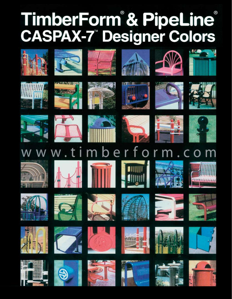## TimberForm & PipeLine<br>CASPAX-7 Designer Colors























t i





mberfor











W.



















































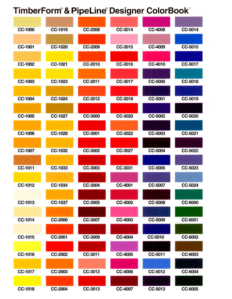## TimberForm® & PipeLine® Designer ColorBook®

| <b>CC-1000</b> | CC-1019 | <b>CC-2008</b> | CC-3014 | <b>CC-4008</b> | CC-5014 |
|----------------|---------|----------------|---------|----------------|---------|
|                |         |                |         |                |         |
| CC-1001        | CC-1020 | <b>CC-2009</b> | CC-3015 | CC-4009        | CC-5015 |
|                |         |                |         |                |         |
| CC-1002        | CC-1021 | CC-2010        | CC-3016 | CC-4010        | CC-5017 |
|                |         |                |         |                |         |
| CC-1003        | CC-1023 | CC-2011        | CC-3017 | CC-5000        | CC-5018 |
|                |         |                |         |                |         |
| CC-1004        | CC-1024 | CC-2012        | CC-3018 | CC-5001        | CC-5019 |
|                |         |                |         |                |         |
| CC-1005        | CC-1027 | CC-3000        | CC-3020 | CC-5002        | CC-5020 |
|                |         |                |         |                |         |
| CC-1006        | CC-1028 | CC-3001        | CC-3022 | CC-5003        | CC-5021 |
|                |         |                |         |                |         |
| CC-1007        | CC-1032 | CC-3002        | CC-3027 | CC-5004        | CC-5022 |
|                |         |                |         |                |         |
| CC-1011        | CC-1033 | CC-3003        | CC-3031 | CC-5005        | CC-5023 |
|                |         |                |         |                |         |
| CC-1012        | CC-1034 | CC-3004        | CC-4001 | CC-5007        | CC-5024 |
|                |         |                |         |                |         |
| CC-1013        | CC-1037 | CC-3005        | CC-4002 | CC-5008        | CC-6000 |
|                |         |                |         |                |         |
| CC-1014        | CC-2000 | CC-3007        | CC-4003 | CC-5009        | CC-6001 |
|                |         |                |         |                |         |
| CC-1015        | CC-2001 | CC-3009        | CC-4004 | CC-5010        | CC-6002 |
|                |         |                |         |                |         |
| CC-1016        | CC-2002 | CC-3011        | CC-4005 | CC-5011        | CC-6003 |
|                |         |                |         |                |         |
| CC-1017        | CC-2003 | CC-3012        | CC-4006 | CC-5012        | CC-6004 |
|                |         |                |         |                |         |
| CC-1018        | CC-2004 | CC-3013        | CC-4007 | CC-5013        | CC-6005 |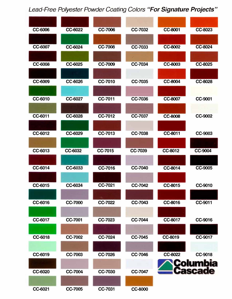## *Lead-Free Polyester Powder Coating Colors "For Signature Projects"*

| CC-6006 | CC-6022        | <b>CC-7006</b> | <b>CC-7032</b> | CC-8001        | <b>CC-8023</b> |
|---------|----------------|----------------|----------------|----------------|----------------|
|         |                |                |                |                |                |
| CC-6007 | CC-6024        | <b>CC-7008</b> | <b>CC-7033</b> | CC-8002        | <b>CC-8024</b> |
|         |                |                |                |                |                |
| CC-6008 | CC-6025        | <b>CC-7009</b> | <b>CC-7034</b> | <b>CC-8003</b> | <b>CC-8025</b> |
|         |                |                |                |                |                |
| CC-6009 | CC-6026        | <b>CC-7010</b> | <b>CC-7035</b> | <b>CC-8004</b> | CC-8028        |
|         |                |                |                |                |                |
| CC-6010 | <b>CC-6027</b> | <b>CC-7011</b> | <b>CC-7036</b> | <b>CC-8007</b> | CC-9001        |
|         |                |                |                |                |                |
| CC-6011 | CC-6028        | <b>CC-7012</b> | <b>CC-7037</b> | <b>CC-8008</b> | <b>CC-9002</b> |
|         |                |                |                |                |                |
| CC-6012 | CC-6029        | <b>CC-7013</b> | <b>CC-7038</b> | CC-8011        | CC-9003        |
|         |                |                |                |                |                |
| CC-6013 | CC-6032        | <b>CC-7015</b> | <b>CC-7039</b> | CC-8012        | CC-9004        |
|         |                |                |                |                |                |
| CC-6014 | CC-6033        | <b>CC-7016</b> | CC-7040        | CC-8014        | <b>CC-9005</b> |
|         |                |                |                |                |                |
| CC-6015 | CC-6034        | CC-7021        | <b>CC-7042</b> | CC-8015        | CC-9010        |
|         |                |                |                |                |                |
| CC-6016 | <b>CC-7000</b> | CC-7022        | CC-7043        | CC-8016        | CC-9011        |
|         |                |                |                |                |                |
| CC-6017 | <b>CC-7001</b> | CC-7023        | CC-7044        | CC-8017        | <b>CC-9016</b> |
|         |                |                |                |                |                |
| CC-6018 | <b>CC-7002</b> | <b>CC-7024</b> | CC-7045        | CC-8019        | CC-9017        |
|         |                |                |                |                |                |
| CC-6019 | CC-7003        | <b>CC-7026</b> | CC-7046        | CC-8022        | <b>CC-9018</b> |
|         |                |                |                |                | bia            |
| CC-6020 | <b>CC-7004</b> | <b>CC-7030</b> | CC-7047        |                | cascade        |
|         |                |                |                |                |                |
| CC-6021 | CC-7005        | CC-7031        | CC-8000        |                |                |